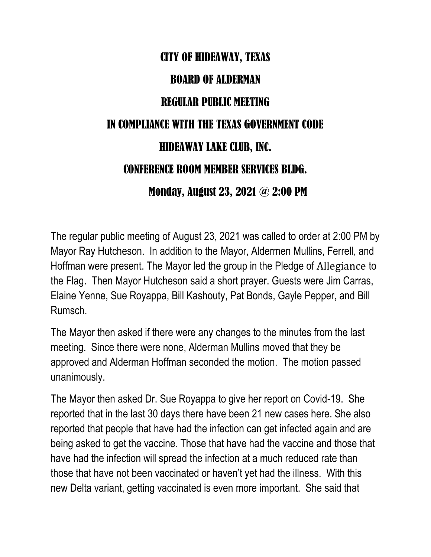## CITY OF HIDEAWAY, TEXAS BOARD OF ALDERMAN REGULAR PUBLIC MEETING IN COMPLIANCE WITH THE TEXAS GOVERNMENT CODE HIDEAWAY LAKE CLUB, INC. CONFERENCE ROOM MEMBER SERVICES BLDG. Monday, August 23, 2021 @ 2:00 PM

The regular public meeting of August 23, 2021 was called to order at 2:00 PM by Mayor Ray Hutcheson. In addition to the Mayor, Aldermen Mullins, Ferrell, and Hoffman were present. The Mayor led the group in the Pledge of Allegiance to the Flag. Then Mayor Hutcheson said a short prayer. Guests were Jim Carras, Elaine Yenne, Sue Royappa, Bill Kashouty, Pat Bonds, Gayle Pepper, and Bill Rumsch.

The Mayor then asked if there were any changes to the minutes from the last meeting. Since there were none, Alderman Mullins moved that they be approved and Alderman Hoffman seconded the motion. The motion passed unanimously.

The Mayor then asked Dr. Sue Royappa to give her report on Covid-19. She reported that in the last 30 days there have been 21 new cases here. She also reported that people that have had the infection can get infected again and are being asked to get the vaccine. Those that have had the vaccine and those that have had the infection will spread the infection at a much reduced rate than those that have not been vaccinated or haven't yet had the illness. With this new Delta variant, getting vaccinated is even more important. She said that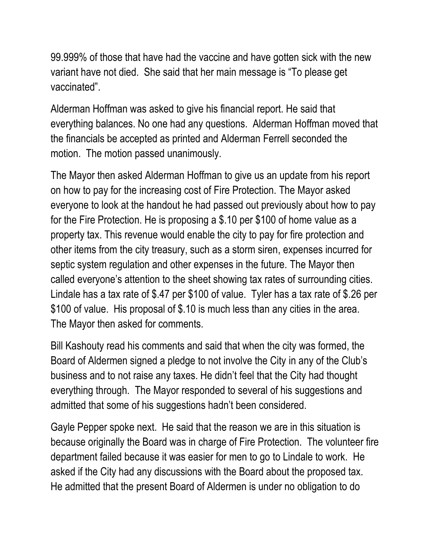99.999% of those that have had the vaccine and have gotten sick with the new variant have not died. She said that her main message is "To please get vaccinated".

Alderman Hoffman was asked to give his financial report. He said that everything balances. No one had any questions. Alderman Hoffman moved that the financials be accepted as printed and Alderman Ferrell seconded the motion. The motion passed unanimously.

The Mayor then asked Alderman Hoffman to give us an update from his report on how to pay for the increasing cost of Fire Protection. The Mayor asked everyone to look at the handout he had passed out previously about how to pay for the Fire Protection. He is proposing a \$.10 per \$100 of home value as a property tax. This revenue would enable the city to pay for fire protection and other items from the city treasury, such as a storm siren, expenses incurred for septic system regulation and other expenses in the future. The Mayor then called everyone's attention to the sheet showing tax rates of surrounding cities. Lindale has a tax rate of \$.47 per \$100 of value. Tyler has a tax rate of \$.26 per \$100 of value. His proposal of \$.10 is much less than any cities in the area. The Mayor then asked for comments.

Bill Kashouty read his comments and said that when the city was formed, the Board of Aldermen signed a pledge to not involve the City in any of the Club's business and to not raise any taxes. He didn't feel that the City had thought everything through. The Mayor responded to several of his suggestions and admitted that some of his suggestions hadn't been considered.

Gayle Pepper spoke next. He said that the reason we are in this situation is because originally the Board was in charge of Fire Protection. The volunteer fire department failed because it was easier for men to go to Lindale to work. He asked if the City had any discussions with the Board about the proposed tax. He admitted that the present Board of Aldermen is under no obligation to do